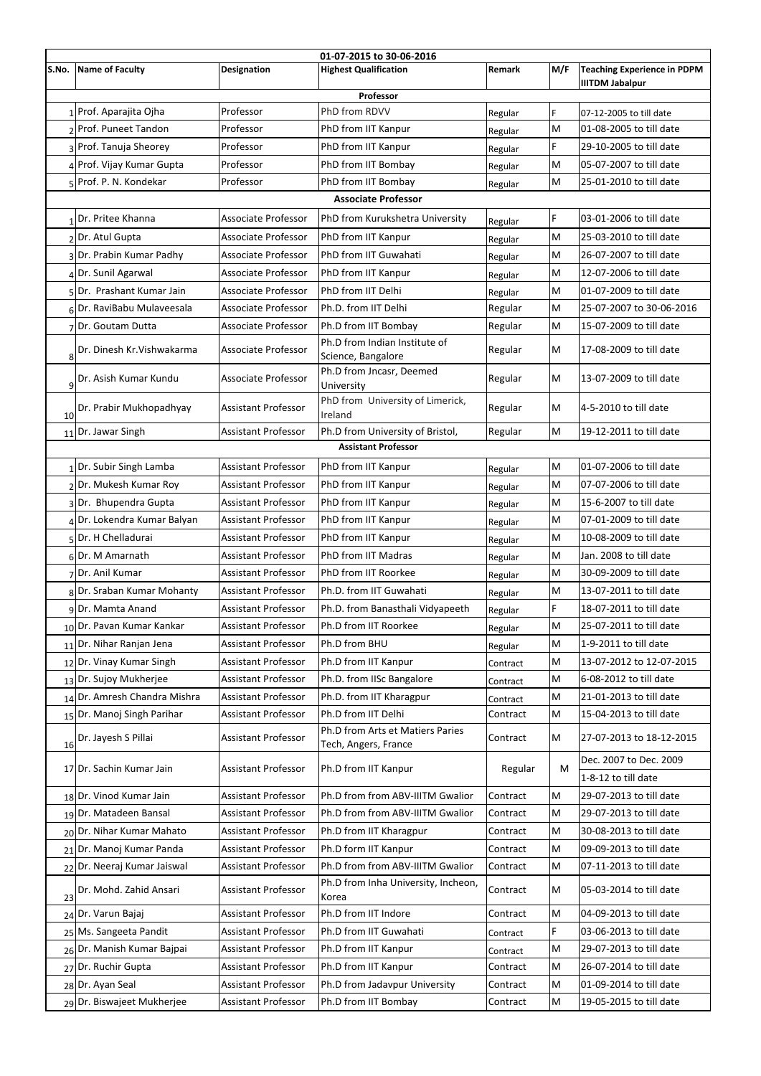| 01-07-2015 to 30-06-2016 |                              |                            |                                                     |               |           |                                                    |  |  |  |  |
|--------------------------|------------------------------|----------------------------|-----------------------------------------------------|---------------|-----------|----------------------------------------------------|--|--|--|--|
| S.No.                    | Name of Faculty              | <b>Designation</b>         | <b>Highest Qualification</b>                        | <b>Remark</b> | M/F       | <b>Teaching Experience in PDPM</b>                 |  |  |  |  |
|                          |                              |                            |                                                     |               |           | <b>IIITDM Jabalpur</b>                             |  |  |  |  |
| Professor                |                              |                            |                                                     |               |           |                                                    |  |  |  |  |
|                          | 1 Prof. Aparajita Ojha       | Professor                  | PhD from RDVV                                       | Regular       | F         | 07-12-2005 to till date                            |  |  |  |  |
|                          | 2 Prof. Puneet Tandon        | Professor                  | PhD from IIT Kanpur                                 | Regular       | M         | 01-08-2005 to till date                            |  |  |  |  |
|                          | 3 Prof. Tanuja Sheorey       | Professor                  | PhD from IIT Kanpur                                 | Regular       | F         | 29-10-2005 to till date                            |  |  |  |  |
|                          | 4 Prof. Vijay Kumar Gupta    | Professor                  | PhD from IIT Bombay                                 | Regular       | M         | 05-07-2007 to till date                            |  |  |  |  |
|                          | 5 Prof. P. N. Kondekar       | Professor                  | PhD from IIT Bombay                                 | Regular       | M         | 25-01-2010 to till date                            |  |  |  |  |
|                          |                              |                            | <b>Associate Professor</b>                          |               |           |                                                    |  |  |  |  |
| 1                        | Dr. Pritee Khanna            | <b>Associate Professor</b> | PhD from Kurukshetra University                     | Regular       | F         | 03-01-2006 to till date                            |  |  |  |  |
|                          | 2Dr. Atul Gupta              | Associate Professor        | PhD from IIT Kanpur                                 | Regular       | M         | 25-03-2010 to till date                            |  |  |  |  |
|                          | 3Dr. Prabin Kumar Padhy      | <b>Associate Professor</b> | PhD from IIT Guwahati                               | Regular       | M         | 26-07-2007 to till date                            |  |  |  |  |
| $\boldsymbol{\Delta}$    | Dr. Sunil Agarwal            | Associate Professor        | PhD from IIT Kanpur                                 | Regular       | M         | 12-07-2006 to till date                            |  |  |  |  |
|                          | 5Dr. Prashant Kumar Jain     | Associate Professor        | PhD from IIT Delhi                                  | Regular       | M         | 01-07-2009 to till date                            |  |  |  |  |
|                          | 6 Dr. RaviBabu Mulaveesala   | Associate Professor        | Ph.D. from IIT Delhi                                | Regular       | M         | 25-07-2007 to 30-06-2016                           |  |  |  |  |
|                          | Dr. Goutam Dutta             | <b>Associate Professor</b> | Ph.D from IIT Bombay                                | Regular       | M         | 15-07-2009 to till date                            |  |  |  |  |
| 8                        | Dr. Dinesh Kr. Vishwakarma   | Associate Professor        | Ph.D from Indian Institute of<br>Science, Bangalore | Regular       | M         | 17-08-2009 to till date                            |  |  |  |  |
| 9                        | Dr. Asish Kumar Kundu        | <b>Associate Professor</b> | Ph.D from Jncasr, Deemed<br>University              | Regular       | M         | 13-07-2009 to till date                            |  |  |  |  |
| 10                       | Dr. Prabir Mukhopadhyay      | <b>Assistant Professor</b> | PhD from University of Limerick,<br>Ireland         | Regular       | M         | 4-5-2010 to till date                              |  |  |  |  |
|                          | $11$ Dr. Jawar Singh         | <b>Assistant Professor</b> | Ph.D from University of Bristol,                    | Regular       | M         | 19-12-2011 to till date                            |  |  |  |  |
|                          |                              |                            | <b>Assistant Professor</b>                          |               |           |                                                    |  |  |  |  |
|                          | $1$ Dr. Subir Singh Lamba    | <b>Assistant Professor</b> | PhD from IIT Kanpur                                 | Regular       | M         | 01-07-2006 to till date                            |  |  |  |  |
|                          | 2Dr. Mukesh Kumar Roy        | <b>Assistant Professor</b> | PhD from IIT Kanpur                                 | Regular       | M         | 07-07-2006 to till date                            |  |  |  |  |
|                          | 3Dr. Bhupendra Gupta         | <b>Assistant Professor</b> | PhD from IIT Kanpur                                 | Regular       | M         | 15-6-2007 to till date                             |  |  |  |  |
|                          | Dr. Lokendra Kumar Balyan    | <b>Assistant Professor</b> | PhD from IIT Kanpur                                 | Regular       | M         | 07-01-2009 to till date                            |  |  |  |  |
|                          | 5 Dr. H Chelladurai          | <b>Assistant Professor</b> | PhD from IIT Kanpur                                 | Regular       | M         | 10-08-2009 to till date                            |  |  |  |  |
|                          | 6Dr. M Amarnath              | <b>Assistant Professor</b> | <b>PhD from IIT Madras</b>                          | Regular       | M         | Jan. 2008 to till date                             |  |  |  |  |
|                          | 7Dr. Anil Kumar              | <b>Assistant Professor</b> | PhD from IIT Roorkee                                | Regular       | M         | 30-09-2009 to till date                            |  |  |  |  |
|                          | 8Dr. Sraban Kumar Mohanty    | <b>Assistant Professor</b> | Ph.D. from IIT Guwahati                             | Regular       | M         | 13-07-2011 to till date                            |  |  |  |  |
|                          | 9Dr. Mamta Anand             | <b>Assistant Professor</b> | Ph.D. from Banasthali Vidyapeeth                    | Regular       | F         | 18-07-2011 to till date                            |  |  |  |  |
|                          | 10 Dr. Pavan Kumar Kankar    | <b>Assistant Professor</b> | Ph.D from IIT Roorkee                               | Regular       | M         | 25-07-2011 to till date                            |  |  |  |  |
|                          | 11 Dr. Nihar Ranjan Jena     | <b>Assistant Professor</b> | Ph.D from BHU                                       | Regular       | M         | 1-9-2011 to till date                              |  |  |  |  |
|                          | 12 Dr. Vinay Kumar Singh     | <b>Assistant Professor</b> | Ph.D from IIT Kanpur                                | Contract      | M         | 13-07-2012 to 12-07-2015                           |  |  |  |  |
| 13                       | Dr. Sujoy Mukherjee          | <b>Assistant Professor</b> | Ph.D. from IISc Bangalore                           | Contract      | M         | 6-08-2012 to till date                             |  |  |  |  |
|                          | 14 Dr. Amresh Chandra Mishra | <b>Assistant Professor</b> | Ph.D. from IIT Kharagpur                            | Contract      | M         | 21-01-2013 to till date                            |  |  |  |  |
|                          | 15 Dr. Manoj Singh Parihar   | <b>Assistant Professor</b> | Ph.D from IIT Delhi                                 | Contract      | M         | 15-04-2013 to till date                            |  |  |  |  |
|                          |                              |                            | Ph.D from Arts et Matiers Paries                    |               |           |                                                    |  |  |  |  |
| 16                       | Dr. Jayesh S Pillai          | <b>Assistant Professor</b> | Tech, Angers, France                                | Contract      | M         | 27-07-2013 to 18-12-2015<br>Dec. 2007 to Dec. 2009 |  |  |  |  |
|                          | 17 Dr. Sachin Kumar Jain     | <b>Assistant Professor</b> | Ph.D from IIT Kanpur                                | Regular       | M         | 1-8-12 to till date                                |  |  |  |  |
|                          | 18Dr. Vinod Kumar Jain       | <b>Assistant Professor</b> | Ph.D from from ABV-IIITM Gwalior                    | Contract      | M         | 29-07-2013 to till date                            |  |  |  |  |
|                          | 19Dr. Matadeen Bansal        | <b>Assistant Professor</b> | Ph.D from from ABV-IIITM Gwalior                    | Contract      | M         | 29-07-2013 to till date                            |  |  |  |  |
|                          | 20 Dr. Nihar Kumar Mahato    | <b>Assistant Professor</b> | Ph.D from IIT Kharagpur                             | Contract      | M         | 30-08-2013 to till date                            |  |  |  |  |
|                          | 21 Dr. Manoj Kumar Panda     | <b>Assistant Professor</b> | Ph.D form IIT Kanpur                                | Contract      | ${\sf M}$ | 09-09-2013 to till date                            |  |  |  |  |
| 22                       | Dr. Neeraj Kumar Jaiswal     | <b>Assistant Professor</b> | Ph.D from from ABV-IIITM Gwalior                    | Contract      | M         | 07-11-2013 to till date                            |  |  |  |  |
| 23                       | Dr. Mohd. Zahid Ansari       | <b>Assistant Professor</b> | Ph.D from Inha University, Incheon,<br>Korea        | Contract      | M         | 05-03-2014 to till date                            |  |  |  |  |
|                          | 24 Dr. Varun Bajaj           | <b>Assistant Professor</b> | Ph.D from IIT Indore                                | Contract      | M         | 04-09-2013 to till date                            |  |  |  |  |
|                          | 25 Ms. Sangeeta Pandit       | <b>Assistant Professor</b> | Ph.D from IIT Guwahati                              | Contract      | F         | 03-06-2013 to till date                            |  |  |  |  |
|                          | 26 Dr. Manish Kumar Bajpai   | <b>Assistant Professor</b> | Ph.D from IIT Kanpur                                | Contract      | M         | 29-07-2013 to till date                            |  |  |  |  |
| 27                       | Dr. Ruchir Gupta             | <b>Assistant Professor</b> | Ph.D from IIT Kanpur                                | Contract      | M         | 26-07-2014 to till date                            |  |  |  |  |
|                          | 28 Dr. Ayan Seal             | <b>Assistant Professor</b> | Ph.D from Jadavpur University                       | Contract      | M         | 01-09-2014 to till date                            |  |  |  |  |
|                          | 29Dr. Biswajeet Mukherjee    | <b>Assistant Professor</b> | Ph.D from IIT Bombay                                | Contract      | M         | 19-05-2015 to till date                            |  |  |  |  |